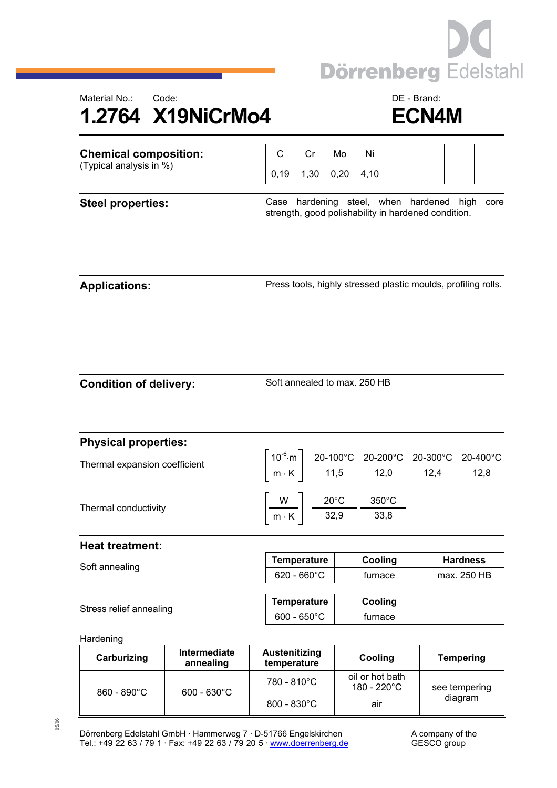

## Material No.: Code: Code: Code: DE - Brand: **1.2764 X19NiCrMo4 ECN4M**

| <b>Chemical composition:</b>  |                           | C                                   | Cr                                                                                                                                                                                                              | Mo                                                                                   | Ni                             |  |                                                               |                  |  |  |
|-------------------------------|---------------------------|-------------------------------------|-----------------------------------------------------------------------------------------------------------------------------------------------------------------------------------------------------------------|--------------------------------------------------------------------------------------|--------------------------------|--|---------------------------------------------------------------|------------------|--|--|
| (Typical analysis in %)       |                           | 0, 19                               | 1,30                                                                                                                                                                                                            | 0,20                                                                                 | 4,10                           |  |                                                               |                  |  |  |
| <b>Steel properties:</b>      |                           |                                     | hardening steel, when hardened high<br>Case<br>core<br>strength, good polishability in hardened condition.                                                                                                      |                                                                                      |                                |  |                                                               |                  |  |  |
| <b>Applications:</b>          |                           |                                     |                                                                                                                                                                                                                 |                                                                                      |                                |  | Press tools, highly stressed plastic moulds, profiling rolls. |                  |  |  |
| <b>Condition of delivery:</b> |                           | Soft annealed to max, 250 HB        |                                                                                                                                                                                                                 |                                                                                      |                                |  |                                                               |                  |  |  |
| <b>Physical properties:</b>   |                           |                                     |                                                                                                                                                                                                                 |                                                                                      |                                |  |                                                               |                  |  |  |
| Thermal expansion coefficient |                           |                                     | $\left[\frac{10^{-6}\text{ m}}{\text{m} \cdot \text{K}}\right] \frac{\text{20-100°C}}{\text{11,5}} \frac{\text{20-200°C}}{\text{12,0}} \frac{\text{20-300°C}}{\text{12,4}} \frac{\text{20-400°C}}{\text{12,8}}$ |                                                                                      |                                |  |                                                               |                  |  |  |
|                               |                           |                                     |                                                                                                                                                                                                                 |                                                                                      |                                |  |                                                               |                  |  |  |
| Thermal conductivity          |                           |                                     |                                                                                                                                                                                                                 | $\left \frac{W}{m\cdot K}\right  \frac{20^{\circ}C}{32,9} \frac{350^{\circ}C}{33,8}$ |                                |  |                                                               |                  |  |  |
| <b>Heat treatment:</b>        |                           |                                     |                                                                                                                                                                                                                 |                                                                                      |                                |  |                                                               |                  |  |  |
| Soft annealing                |                           |                                     | <b>Temperature</b>                                                                                                                                                                                              |                                                                                      | Cooling                        |  | <b>Hardness</b>                                               |                  |  |  |
|                               |                           |                                     | $620 - 660^{\circ}$ C                                                                                                                                                                                           |                                                                                      | furnace                        |  |                                                               | max. 250 HB      |  |  |
|                               |                           |                                     | <b>Temperature</b>                                                                                                                                                                                              |                                                                                      | Cooling                        |  |                                                               |                  |  |  |
| Stress relief annealing       |                           |                                     | $600 - 650^{\circ}$ C                                                                                                                                                                                           |                                                                                      | furnace                        |  |                                                               |                  |  |  |
| Hardening                     |                           |                                     |                                                                                                                                                                                                                 |                                                                                      |                                |  |                                                               |                  |  |  |
| Carburizing                   | Intermediate<br>annealing | <b>Austenitizing</b><br>temperature |                                                                                                                                                                                                                 |                                                                                      | Cooling                        |  |                                                               | <b>Tempering</b> |  |  |
| $0.80$ $0.00$                 | con coner                 | 780 - 810°C                         |                                                                                                                                                                                                                 |                                                                                      | oil or hot bath<br>180 - 220°C |  |                                                               | see tempering    |  |  |

800 - 830 °C | air

Dörrenberg Edelstahl GmbH · Hammerweg 7 · D-51766 Engelskirchen A company of the Tel.: +49 22 63 / 79 1 · Fax: +49 22 63 / 79 20 5 [· www.doerrenberg.de](www.doerrenberg.de) GESCO group

860 - 890°C | 600 - 630°C

see tempering diagram

<sup>05/06</sup>